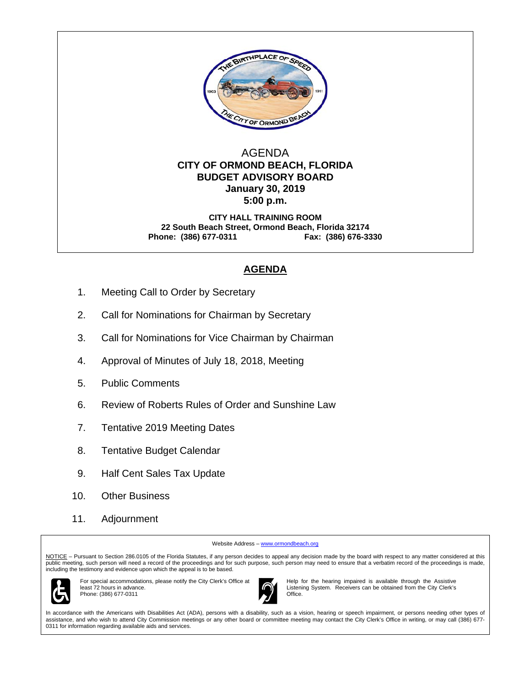

### AGENDA  **CITY OF ORMOND BEACH, FLORIDA BUDGET ADVISORY BOARD January 30, 2019 5:00 p.m.**

**CITY HALL TRAINING ROOM 22 South Beach Street, Ormond Beach, Florida 32174 Phone: (386) 677-0311 Fax: (386) 676-3330** 

## **AGENDA**

- 1. Meeting Call to Order by Secretary
- 2. Call for Nominations for Chairman by Secretary
- 3. Call for Nominations for Vice Chairman by Chairman
- 4. Approval of Minutes of July 18, 2018, Meeting
- 5. Public Comments
- 6. Review of Roberts Rules of Order and Sunshine Law
- 7. Tentative 2019 Meeting Dates
- 8. Tentative Budget Calendar
- 9. Half Cent Sales Tax Update
- 10. Other Business
- 11. Adjournment

Website Address – www.ormondbeach.org

NOTICE - Pursuant to Section 286.0105 of the Florida Statutes, if any person decides to appeal any decision made by the board with respect to any matter considered at this public meeting, such person will need a record of the proceedings and for such purpose, such person may need to ensure that a verbatim record of the proceedings is made, including the testimony and evidence upon which the appeal is to be based.



For special accommodations, please notify the City Clerk's Office at least 72 hours in advance. Phone: (386) 677-0311



Help for the hearing impaired is available through the Assistive Listening System. Receivers can be obtained from the City Clerk's Office.

In accordance with the Americans with Disabilities Act (ADA), persons with a disability, such as a vision, hearing or speech impairment, or persons needing other types of assistance, and who wish to attend City Commission meetings or any other board or committee meeting may contact the City Clerk's Office in writing, or may call (386) 677- 0311 for information regarding available aids and services.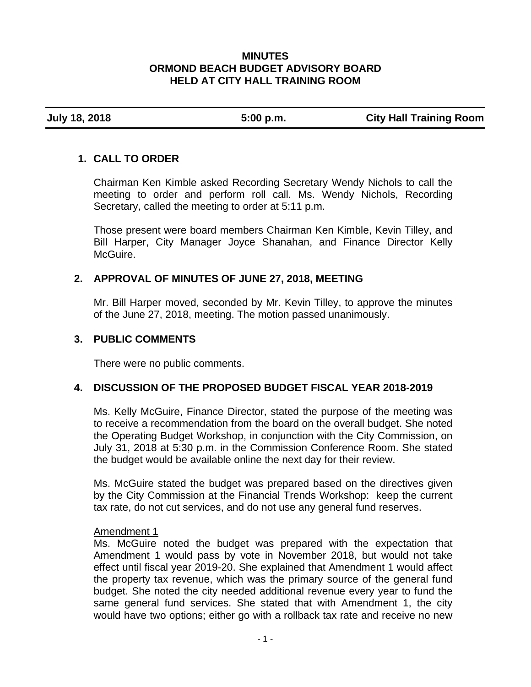### **MINUTES ORMOND BEACH BUDGET ADVISORY BOARD HELD AT CITY HALL TRAINING ROOM**

**July 18, 2018 5:00 p.m. City Hall Training Room** 

## **1. CALL TO ORDER**

Chairman Ken Kimble asked Recording Secretary Wendy Nichols to call the meeting to order and perform roll call. Ms. Wendy Nichols, Recording Secretary, called the meeting to order at 5:11 p.m.

Those present were board members Chairman Ken Kimble, Kevin Tilley, and Bill Harper, City Manager Joyce Shanahan, and Finance Director Kelly McGuire.

# **2. APPROVAL OF MINUTES OF JUNE 27, 2018, MEETING**

Mr. Bill Harper moved, seconded by Mr. Kevin Tilley, to approve the minutes of the June 27, 2018, meeting. The motion passed unanimously.

### **3. PUBLIC COMMENTS**

There were no public comments.

# **4. DISCUSSION OF THE PROPOSED BUDGET FISCAL YEAR 2018-2019**

Ms. Kelly McGuire, Finance Director, stated the purpose of the meeting was to receive a recommendation from the board on the overall budget. She noted the Operating Budget Workshop, in conjunction with the City Commission, on July 31, 2018 at 5:30 p.m. in the Commission Conference Room. She stated the budget would be available online the next day for their review.

Ms. McGuire stated the budget was prepared based on the directives given by the City Commission at the Financial Trends Workshop: keep the current tax rate, do not cut services, and do not use any general fund reserves.

### Amendment 1

Ms. McGuire noted the budget was prepared with the expectation that Amendment 1 would pass by vote in November 2018, but would not take effect until fiscal year 2019-20. She explained that Amendment 1 would affect the property tax revenue, which was the primary source of the general fund budget. She noted the city needed additional revenue every year to fund the same general fund services. She stated that with Amendment 1, the city would have two options; either go with a rollback tax rate and receive no new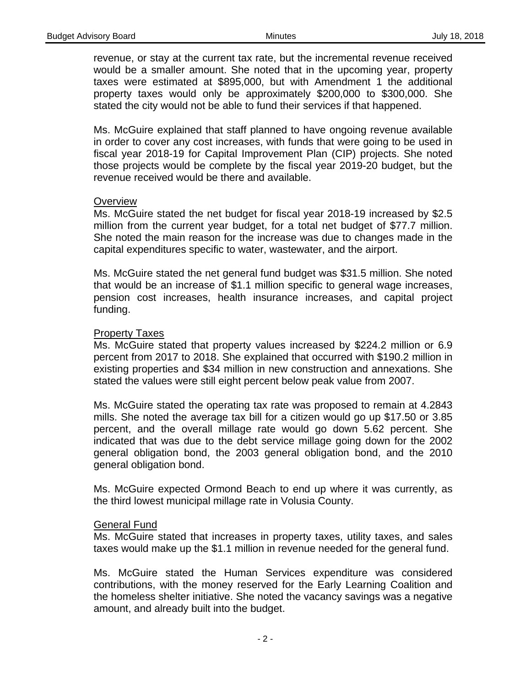revenue, or stay at the current tax rate, but the incremental revenue received would be a smaller amount. She noted that in the upcoming year, property taxes were estimated at \$895,000, but with Amendment 1 the additional property taxes would only be approximately \$200,000 to \$300,000. She stated the city would not be able to fund their services if that happened.

Ms. McGuire explained that staff planned to have ongoing revenue available in order to cover any cost increases, with funds that were going to be used in fiscal year 2018-19 for Capital Improvement Plan (CIP) projects. She noted those projects would be complete by the fiscal year 2019-20 budget, but the revenue received would be there and available.

### **Overview**

Ms. McGuire stated the net budget for fiscal year 2018-19 increased by \$2.5 million from the current year budget, for a total net budget of \$77.7 million. She noted the main reason for the increase was due to changes made in the capital expenditures specific to water, wastewater, and the airport.

Ms. McGuire stated the net general fund budget was \$31.5 million. She noted that would be an increase of \$1.1 million specific to general wage increases, pension cost increases, health insurance increases, and capital project funding.

### Property Taxes

Ms. McGuire stated that property values increased by \$224.2 million or 6.9 percent from 2017 to 2018. She explained that occurred with \$190.2 million in existing properties and \$34 million in new construction and annexations. She stated the values were still eight percent below peak value from 2007.

Ms. McGuire stated the operating tax rate was proposed to remain at 4.2843 mills. She noted the average tax bill for a citizen would go up \$17.50 or 3.85 percent, and the overall millage rate would go down 5.62 percent. She indicated that was due to the debt service millage going down for the 2002 general obligation bond, the 2003 general obligation bond, and the 2010 general obligation bond.

Ms. McGuire expected Ormond Beach to end up where it was currently, as the third lowest municipal millage rate in Volusia County.

### General Fund

Ms. McGuire stated that increases in property taxes, utility taxes, and sales taxes would make up the \$1.1 million in revenue needed for the general fund.

Ms. McGuire stated the Human Services expenditure was considered contributions, with the money reserved for the Early Learning Coalition and the homeless shelter initiative. She noted the vacancy savings was a negative amount, and already built into the budget.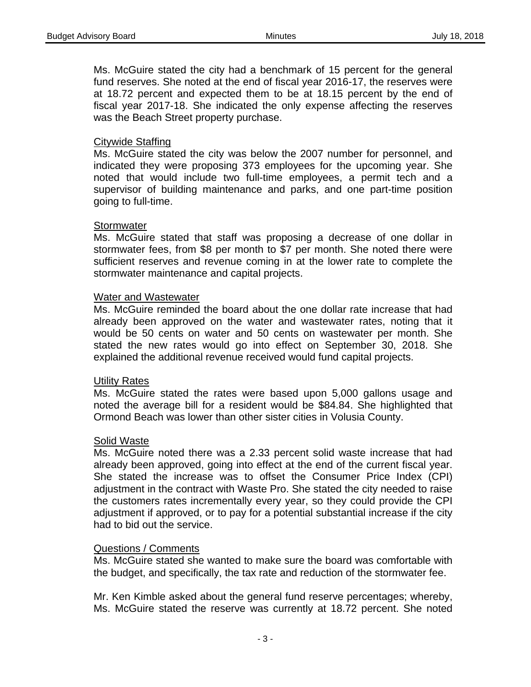Ms. McGuire stated the city had a benchmark of 15 percent for the general fund reserves. She noted at the end of fiscal year 2016-17, the reserves were at 18.72 percent and expected them to be at 18.15 percent by the end of fiscal year 2017-18. She indicated the only expense affecting the reserves was the Beach Street property purchase.

### Citywide Staffing

Ms. McGuire stated the city was below the 2007 number for personnel, and indicated they were proposing 373 employees for the upcoming year. She noted that would include two full-time employees, a permit tech and a supervisor of building maintenance and parks, and one part-time position going to full-time.

#### **Stormwater**

Ms. McGuire stated that staff was proposing a decrease of one dollar in stormwater fees, from \$8 per month to \$7 per month. She noted there were sufficient reserves and revenue coming in at the lower rate to complete the stormwater maintenance and capital projects.

#### Water and Wastewater

Ms. McGuire reminded the board about the one dollar rate increase that had already been approved on the water and wastewater rates, noting that it would be 50 cents on water and 50 cents on wastewater per month. She stated the new rates would go into effect on September 30, 2018. She explained the additional revenue received would fund capital projects.

#### Utility Rates

Ms. McGuire stated the rates were based upon 5,000 gallons usage and noted the average bill for a resident would be \$84.84. She highlighted that Ormond Beach was lower than other sister cities in Volusia County.

#### Solid Waste

Ms. McGuire noted there was a 2.33 percent solid waste increase that had already been approved, going into effect at the end of the current fiscal year. She stated the increase was to offset the Consumer Price Index (CPI) adjustment in the contract with Waste Pro. She stated the city needed to raise the customers rates incrementally every year, so they could provide the CPI adjustment if approved, or to pay for a potential substantial increase if the city had to bid out the service.

#### Questions / Comments

Ms. McGuire stated she wanted to make sure the board was comfortable with the budget, and specifically, the tax rate and reduction of the stormwater fee.

Mr. Ken Kimble asked about the general fund reserve percentages; whereby, Ms. McGuire stated the reserve was currently at 18.72 percent. She noted